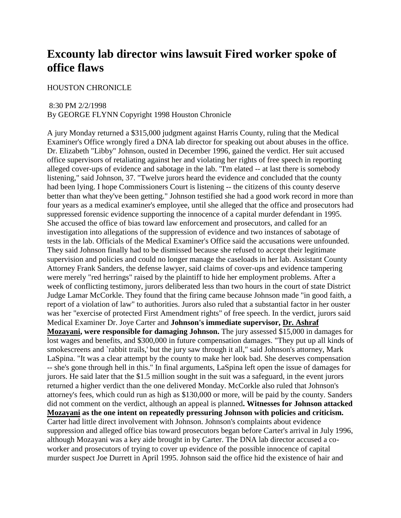# **Excounty lab director wins lawsuit Fired worker spoke of office flaws**

### HOUSTON CHRONICLE

#### 8:30 PM 2/2/1998

By GEORGE FLYNN Copyright 1998 Houston Chronicle

A jury Monday returned a \$315,000 judgment against Harris County, ruling that the Medical Examiner's Office wrongly fired a DNA lab director for speaking out about abuses in the office. Dr. Elizabeth "Libby" Johnson, ousted in December 1996, gained the verdict. Her suit accused office supervisors of retaliating against her and violating her rights of free speech in reporting alleged cover-ups of evidence and sabotage in the lab. "I'm elated -- at last there is somebody listening," said Johnson, 37. "Twelve jurors heard the evidence and concluded that the county had been lying. I hope Commissioners Court is listening -- the citizens of this county deserve better than what they've been getting." Johnson testified she had a good work record in more than four years as a medical examiner's employee, until she alleged that the office and prosecutors had suppressed forensic evidence supporting the innocence of a capital murder defendant in 1995. She accused the office of bias toward law enforcement and prosecutors, and called for an investigation into allegations of the suppression of evidence and two instances of sabotage of tests in the lab. Officials of the Medical Examiner's Office said the accusations were unfounded. They said Johnson finally had to be dismissed because she refused to accept their legitimate supervision and policies and could no longer manage the caseloads in her lab. Assistant County Attorney Frank Sanders, the defense lawyer, said claims of cover-ups and evidence tampering were merely "red herrings" raised by the plaintiff to hide her employment problems. After a week of conflicting testimony, jurors deliberated less than two hours in the court of state District Judge Lamar McCorkle. They found that the firing came because Johnson made "in good faith, a report of a violation of law" to authorities. Jurors also ruled that a substantial factor in her ouster was her "exercise of protected First Amendment rights" of free speech. In the verdict, jurors said Medical Examiner Dr. Joye Carter and **Johnson's immediate supervisor, Dr. Ashraf Mozayani, were responsible for damaging Johnson.** The jury assessed \$15,000 in damages for lost wages and benefits, and \$300,000 in future compensation damages. "They put up all kinds of smokescreens and `rabbit trails,' but the jury saw through it all," said Johnson's attorney, Mark LaSpina. "It was a clear attempt by the county to make her look bad. She deserves compensation -- she's gone through hell in this." In final arguments, LaSpina left open the issue of damages for jurors. He said later that the \$1.5 million sought in the suit was a safeguard, in the event jurors returned a higher verdict than the one delivered Monday. McCorkle also ruled that Johnson's attorney's fees, which could run as high as \$130,000 or more, will be paid by the county. Sanders did not comment on the verdict, although an appeal is planned**. Witnesses for Johnson attacked Mozayani as the one intent on repeatedly pressuring Johnson with policies and criticism.** Carter had little direct involvement with Johnson. Johnson's complaints about evidence suppression and alleged office bias toward prosecutors began before Carter's arrival in July 1996, although Mozayani was a key aide brought in by Carter. The DNA lab director accused a coworker and prosecutors of trying to cover up evidence of the possible innocence of capital murder suspect Joe Durrett in April 1995. Johnson said the office hid the existence of hair and